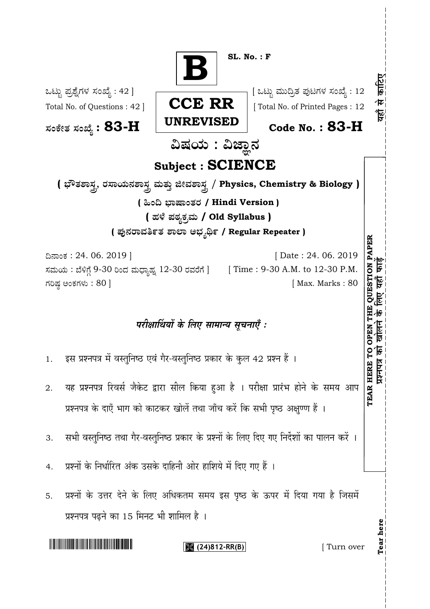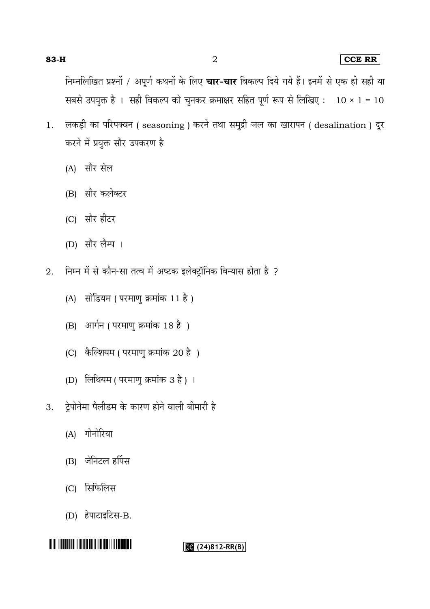### **83-H** 2 **CCE RR**

निम्नलिखित प्रश्नों / अपूर्ण कथनों के लिए **चार-चार** विकल्प दिये गये हैं। इनमें से एक ही सही या सबसे उपयुक्त है । सही विकल्प को चुनकर क्रमाक्षर सहित पूर्ण रूप से लिखिए:  $10 \times 1 = 10$ 

- 1. लकड़ी का परिपक्वन (seasoning) करने तथा समुद्री जल का खारापन (desalination) दूर करने में प्रयुक्त सौर उपकरण है
	- (A)
	- (B) सौर कलेक्टर
	- (C) सौर हीटर
	- (D) सौर लैम्प ।
- निम्न में से कौन-सा तत्व में अष्टक इलेक्ट्रॉनिक विन्यास होता है ? 2.
	- (A) सोडियम ( परमाणु क्रमांक 11 है)
	- (B) आर्गन (परमाणु क्रमांक 18 है)
	- (C) कैल्शियम ( परमाणु क्रमांक 20 है)
	- (D) लिथियम ( परमाणु क्रमांक 3 है) ।
- ट्रेपोनेमा पैलीडम के कारण होने वाली बीमारी है 3.
	- (A)
	- (B) जेनिटल हर्पिस
	- (C) सिफिलिस
	- (D) हेपाटाइटिस-B.

##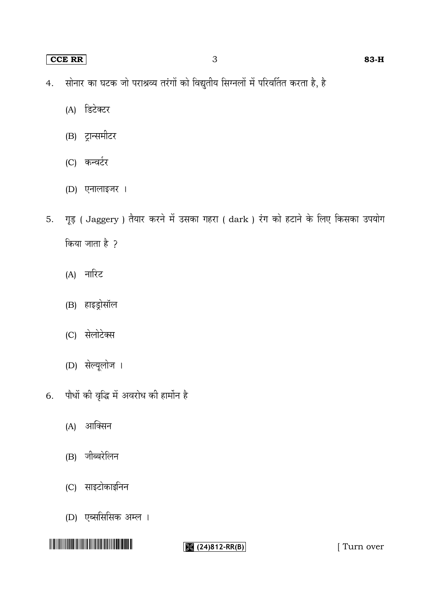#### **CCE RR** 3 **83-H**

- सोनार का घटक जो पराश्रव्य तरंगों को विद्युतीय सिग्नलों में परिवर्तित करता है, है 4.
	- (A) डिटेक्टर
	- (B) ट्रान्समीटर
	- (C)
	- (D)
- 5. गूड़ ( Jaggery ) तैयार करने में उसका गहरा ( dark ) रंग को हटाने के लिए किसका उपयोग किया जाता है ?
	- (A)
	- (B)
	- (C) सेलोटेक्स
	- (D)
- पौधों की वृद्धि में अवरोध की हार्मोन है 6.
	- (A)
	- (B)
	- (C) साइटोकाइनिन
	- (D) एब्ससिसिक अम्ल ।

# <u> A Alban Andrew Alban Andrew Alban Andrew Alban Andrew Alban Andrew Alban Andrew Alban Andrew Alban Andrew Alba</u>

**(24)812-RR(B)** [ Turn over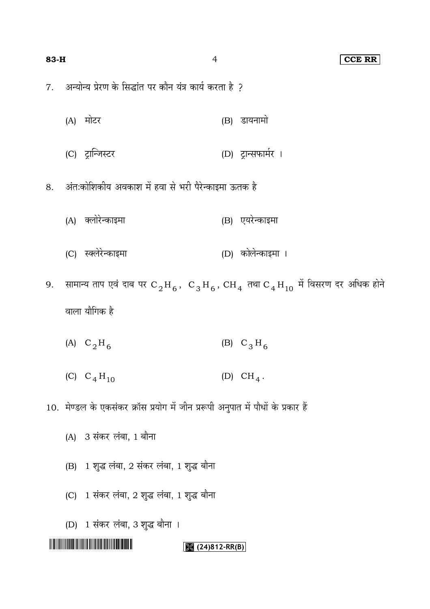#### **83-H** 4 **CCE RR**

अन्योन्य प्रेरण के सिद्धांत पर कौन यंत्र कार्य करता है ? 7.

- (A) मोटर (B) डायनामो
- (C) (D)
- अंतःकोशिकीय अवकाश में हवा से भरी पैरेन्काइमा ऊतक है 8.
	- (A) क्लोरेन्काइमा (B) एयरेन्काइमा
	- (C) (D)
- 9. सामान्य ताप एव दाब पर  $\rm C^{\,}_{2}H_{6}\,$ ,  $\rm \ C^{\,}_{3}H_{6}\,$ ,  $\rm CH^{\,}_{4}$  तथा  $\rm C^{\,}_{4}H_{10}$ वाला यौगिक है
	- (A)  $C_2H_6$ (B)  $C_3H_6$
	- (C)  $C_4H_{10}$ (D)  $CH_4$ .
- 10. मेण्डल के एकसंकर क्रॉस प्रयोग में जीन प्ररूपी अनुपात में पौधों के प्रकार हैं
	- (A) 3 संकर लंबा, 1 बौना
	- (B) 1 शुद्ध लंबा, 2 संकर लंबा, 1 शुद्ध बौना
	- (C) 1 संकर लंबा, 2 शुद्ध लंबा, 1 शुद्ध बौना
	- (D) 1 संकर लंबा, 3 शुद्ध बौना ।

#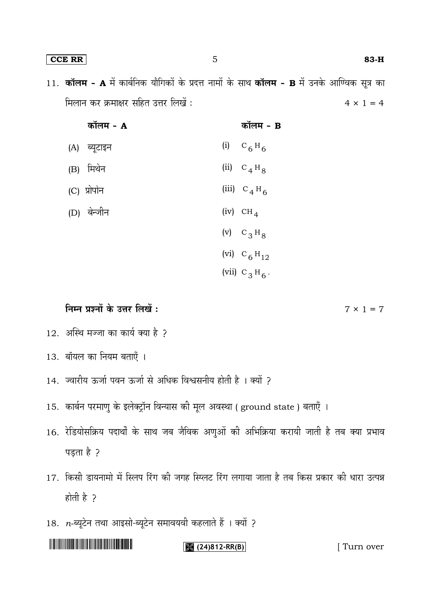**CCE RR** 5 **83-H**

11. कॉलम - A में कार्बनिक यौगिकों के प्रदत्त नामों के साथ कॉलम - B में उनके आण्विक सूत्र का मिलान कर क्रमाक्षर सहित उत्तर लिखें:  $4 \times 1 = 4$ 

| कॉलम - A     | कॉलम - B               |
|--------------|------------------------|
| (A) ब्यूटाइन | (i) $C_6H_6$           |
| (B) मिथेन    | (ii) $C_4H_8$          |
| (C) प्रोपोन  | (iii) $C_4H_6$         |
| (D) बेन्जीन  | $(iv)$ CH <sub>4</sub> |
|              | (v) $C_3H_8$           |
|              | (vi) $C_6H_{12}$       |
|              | (vii) $C_3H_6$ .       |

निम्न प्रश्नों के उत्तर लिखें:

- 12. अस्थि मज्जा का कार्य क्या है ?
- 13.
- 14. ज्वारीय ऊर्जा पवन ऊर्जा से अधिक विश्वसनीय होती है । क्यों ?
- 15. कार्बन परमाणु के इलेक्ट्रॉन विन्यास की मूल अवस्था ( ground state ) बताएँ ।
- 16. रेडियोसक्रिय पदार्थों के साथ जब जैविक अणुओं की अभिक्रिया करायी जाती है तब क्या प्रभाव पड़ता है ?
- 17. किसी डायनामो में स्लिप रिंग की जगह स्प्लिट रिंग लगाया जाता है तब किस प्रकार की धारा उत्पन्न होती है ?
- 18. *n*-

# THE REAL PROPERTY OF REAL PROPERTY OF REAL PROPERTY.

**(24)812-RR(B)** [ Turn over

 $7 \times 1 = 7$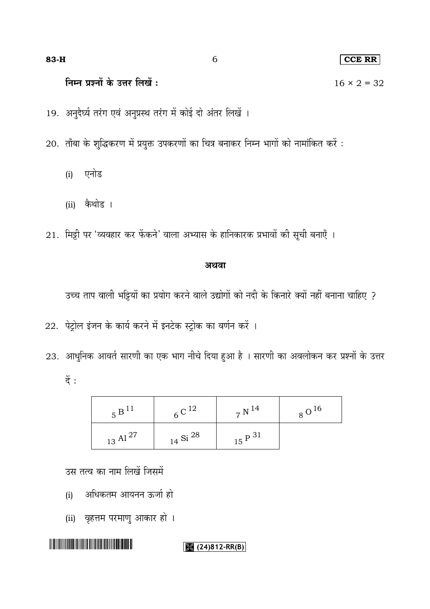#### $CCE$  RR

निम्न प्रश्नों के उत्तर लिखें:

19. अनुदैर्घ्य तरंग एवं अनुप्रस्थ तरंग में कोई दो अंतर लिखें ।

20. ताँबा के शुद्धिकरण में प्रयुक्त उपकरणों का चित्र बनाकर निम्न भागों को नामांकित करें :

- एनोड  $(i)$
- (ii) कैथोड ।

21. मिट्टी पर 'व्यवहार कर फेंकने' वाला अभ्यास के हानिकारक प्रभावों की सूची बनाएँ ।

### अथवा

उच्च ताप वाली भट्टियों का प्रयोग करने वाले उद्योगों को नदी के किनारे क्यों नहीं बनाना चाहिए ?

22. पेट्रोल इंजन के कार्य करने में इनटेक स्ट्रोक का वर्णन करें।

23. आधुनिक आवर्त सारणी का एक भाग नीचे दिया हुआ है । सारणी का अवलोकन कर प्रश्नों के उत्तर  $\ddot{\vec{z}}$  :

| $5^{\,B\,^{11}}$       | $6^{\circ}$ C <sup>12</sup> | $_7$ N $^{14}$     | $8^{\,0^{16}}$ |
|------------------------|-----------------------------|--------------------|----------------|
| $_{\rm 13}$ Al $^{27}$ | $_{14}$ Si $^{28}$          | $15\ {\rm P}\ ^31$ |                |

उस तत्व का नाम लिखें जिसमें

- अधिकतम आयनन ऊर्जा हो  $(i)$
- 

(ii) वृहत्तम परमाणु आकार हो ।

## 

#### $(24)812-RR(B)$

 $16 \times 2 = 32$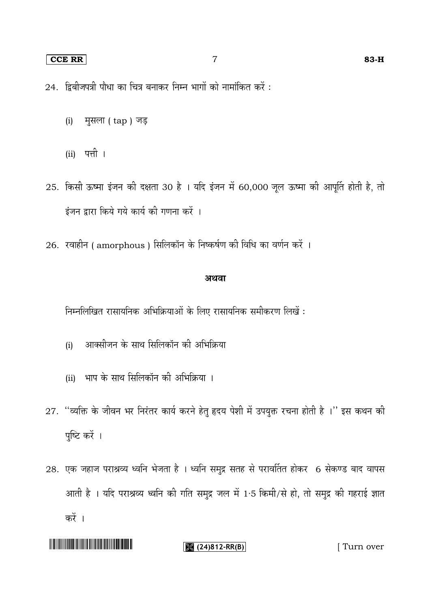#### **CCE RR** 7 **83-H**

- $24.$  द्विबीजपत्री पौधा का चित्र बनाकर निम्न भागों को नामांकित करें:
	- (i) मुसला ( tap ) जड़
	- (ii)
- 25. किसी ऊष्मा इंजन की दक्षता 30 है । यदि इंजन में 60,000 जूल ऊष्मा की आपूर्ति होती है, तो इंजन द्वारा किये गये कार्य की गणना करें ।
- 26. रवाहीन ( amorphous ) सिलिकॉन के निष्कर्षण की विधि का वर्णन करें ।

#### अथवा

निम्नलिखित रासायनिक अभिक्रियाओं के लिए रासायनिक समीकरण लिखें :

- आक्सीजन के साथ सिलिकॉन की अभिक्रिया (i)
- (ii) भाप के साथ सिलिकॉन की अभिक्रिया ।
- 27. "व्यक्ति के जीवन भर निरंतर कार्य करने हेतु हृदय पेशी में उपयुक्त रचना होती है ।" इस कथन की पुष्टि करें ।
- 28. एक जहाज पराश्रव्य ध्वनि भेजता है । ध्वनि समुद्र सतह से परावर्तित होकर 6 सेकण्ड बाद वापस आती है । यदि पराश्रव्य ध्वनि की गति समुद्र जल में 1.5 किमी/से हो, तो समुद्र की गहराई ज्ञात करें ।

#### **(24)812-RR(B)** [ Turn over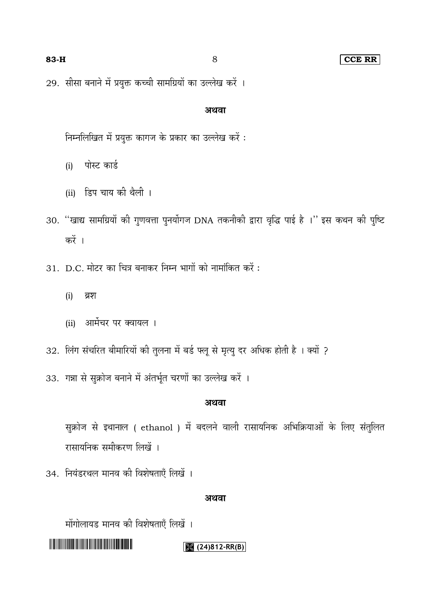#### **83-H** 8 **CCE RR**

29. सीसा बनाने में प्रयुक्त कच्ची सामग्रियों का उल्लेख करें ।

#### अथवा

निम्नलिखित में प्रयुक्त कागज के प्रकार का उल्लेख करें :

पोस्ट कार्ड (i)

- (ii) डिप चाय की थैली ।
- 30. "खाद्य सामग्रियों की गुणवत्ता पुनर्योगज DNA तकनीकी द्वारा वृद्धि पाई है ।" इस कथन की पुष्टि करें ।
- 31. D.C. मोटर का चित्र बनाकर निम्न भागों को नामांकित करें :
	- (i) ब्रश
	- (ii) आर्मेचर पर क्वायल ।
- 32. लिंग संचरित बीमारियों की तुलना में बर्ड फ्लू से मृत्यु दर अधिक होती है । क्यों ?
- 33. गन्ना से सुक्रोज बनाने में अंतर्भूत चरणों का उल्लेख करें ।

#### अथवा

सुक्रोज से इथानाल ( ethanol ) में बदलने वाली रासायनिक अभिक्रियाओं के लिए संतुलित रासायनिक समीकरण लिखें ।

34.

#### अथवा

मोंगोलायड मानव की विशेषताएँ लिखें ।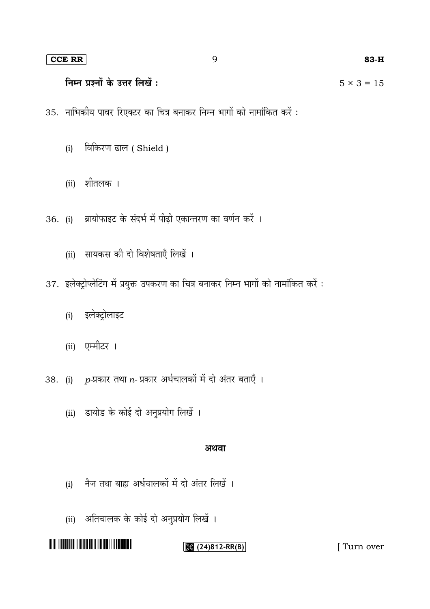#### **CCE RR** 9 **83-H**

#### निम्न प्रश्नों के उत्तर लिखें:  $5 \times 3 = 15$

- 35. नाभिकीय पावर रिएक्टर का चित्र बनाकर निम्न भागों को नामांकित करें :
	- (i) विकिरण ढाल ( Shield )
	- (ii)
- 36. (i) ब्रायोफाइट के संदर्भ में पीढ़ी एकान्तरण का वर्णन करें ।
	- (ii) सायकस की दो विशेषताएँ लिखें ।
- 37. इलेक्ट्रोप्लेटिंग में प्रयुक्त उपकरण का चित्र बनाकर निम्न भागों को नामांकित करें :
	- इलेक्ट्रोलाइट (i)
	- (ii)
- 38. (i) *p-*प्रकार तथा n- प्रकार अर्धचालकों में दो अंतर बताएँ ।
	- (ii) डायोड के कोई दो अनुप्रयोग लिखें ।

#### अथवा

- नैज तथा बाह्य अर्धचालकों में दो अंतर लिखें । (i)
- (ii) अतिचालक के कोई दो अनुप्रयोग लिखें ।

**(24)812-RR(B)** [ Turn over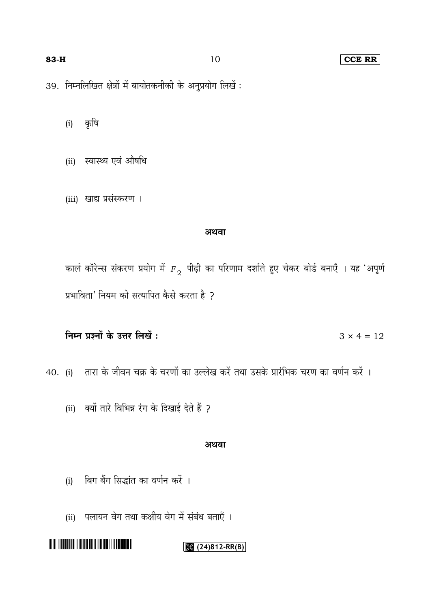#### 83-H

10

#### **CCE RR**

39. निम्नलिखित क्षेत्रों में बायोतकनीकी के अनुप्रयोग लिखें :

कृषि  $(i)$ 

- (ii) स्वास्थ्य एवं औषधि
- (iii) खाद्य प्रसंस्करण ।

#### अथवा

कार्ल कॉरेन्स संकरण प्रयोग में  $_{F_2}$  पीढ़ी का परिणाम दर्शाते हुए चेकर बोर्ड बनाएँ । यह 'अपूर्ण प्रभाविता' नियम को सत्यापित कैसे करता है ?

निम्न प्रश्नों के उत्तर लिखें:  $3 \times 4 = 12$ 

40. (i) तारा के जीवन चक्र के चरणों का उल्लेख करें तथा उसके प्रारंभिक चरण का वर्णन करें ।

(ii) क्यों तारे विभिन्न रंग के दिखाई देते हैं ?

#### अथवा

- बिग बैंग सिद्धांत का वर्णन करें ।  $(i)$
- (ii) पलायन वेग तथा कक्षीय वेग में संबंध बताएँ ।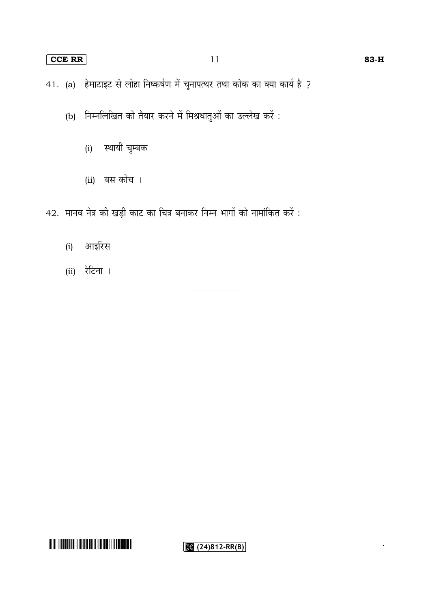#### **CCE RR** 83-H

41. (a) हेमाटाइट से लोहा निष्कर्षण में चूनापत्थर तथा कोक का क्या कार्य है ?

- (b) निम्नलिखित को तैयार करने में मिश्रधातुओं का उल्लेख करें:
	- स्थायी चुम्बक (i)
	- (ii) बस कोच ।
- 42. मानव नेत्र की खड़ी काट का चित्र बनाकर निम्न भागों को नामांकित करें :
	- आइरिस (i)
	- (ii)



 $\sqrt{(24)812-RR(B)}$